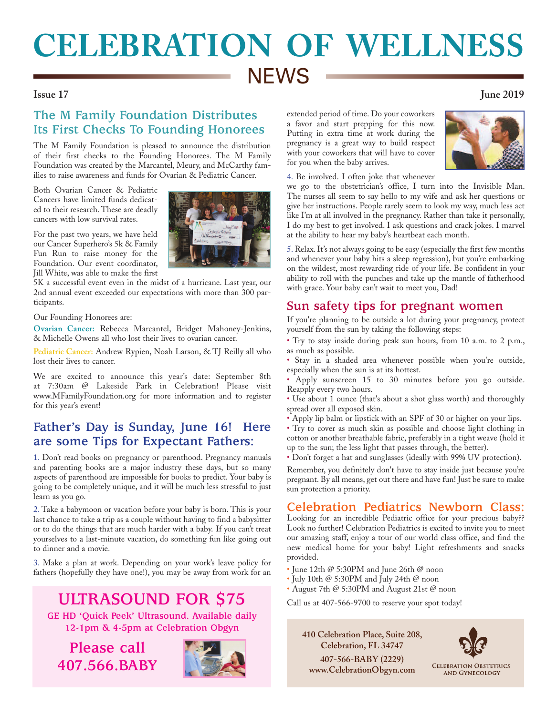# **CELEBRATION OF WELLNESS NEWS**

#### **Issue 17 June 2019**

## **The M Family Foundation Distributes Its First Checks To Founding Honorees**

The M Family Foundation is pleased to announce the distribution of their first checks to the Founding Honorees. The M Family Foundation was created by the Marcantel, Meury, and McCarthy families to raise awareness and funds for Ovarian & Pediatric Cancer.

Both Ovarian Cancer & Pediatric Cancers have limited funds dedicated to their research. These are deadly cancers with low survival rates.

For the past two years, we have held our Cancer Superhero's 5k & Family Fun Run to raise money for the Foundation. Our event coordinator, Jill White, was able to make the first



Our Founding Honorees are:

**Ovarian Cancer:** Rebecca Marcantel, Bridget Mahoney-Jenkins, & Michelle Owens all who lost their lives to ovarian cancer.

**Pediatric Cancer:** Andrew Rypien, Noah Larson, & TJ Reilly all who lost their lives to cancer.

We are excited to announce this year's date: September 8th at 7:30am @ Lakeside Park in Celebration! Please visit www.MFamilyFoundation.org for more information and to register for this year's event!

## **Father's Day is Sunday, June 16! Here are some Tips for Expectant Fathers:**

1. Don't read books on pregnancy or parenthood. Pregnancy manuals and parenting books are a major industry these days, but so many aspects of parenthood are impossible for books to predict. Your baby is going to be completely unique, and it will be much less stressful to just learn as you go.

2. Take a babymoon or vacation before your baby is born. This is your last chance to take a trip as a couple without having to find a babysitter or to do the things that are much harder with a baby. If you can't treat yourselves to a last-minute vacation, do something fun like going out to dinner and a movie.

3. Make a plan at work. Depending on your work's leave policy for fathers (hopefully they have one!), you may be away from work for an

**ULTRASOUND FOR \$75**

**GE HD 'Quick Peek' Ultrasound. Available daily 12-1pm & 4-5pm at Celebration Obgyn**

**Please call 407.566.BABY**



extended period of time. Do your coworkers a favor and start prepping for this now. Putting in extra time at work during the pregnancy is a great way to build respect with your coworkers that will have to cover for you when the baby arrives.



4. Be involved. I often joke that whenever

we go to the obstetrician's office, I turn into the Invisible Man. The nurses all seem to say hello to my wife and ask her questions or give her instructions. People rarely seem to look my way, much less act like I'm at all involved in the pregnancy. Rather than take it personally, I do my best to get involved. I ask questions and crack jokes. I marvel at the ability to hear my baby's heartbeat each month.

5. Relax. It's not always going to be easy (especially the first few months and whenever your baby hits a sleep regression), but you're embarking on the wildest, most rewarding ride of your life. Be confident in your ability to roll with the punches and take up the mantle of fatherhood with grace. Your baby can't wait to meet you, Dad!

## **Sun safety tips for pregnant women**

If you're planning to be outside a lot during your pregnancy, protect yourself from the sun by taking the following steps:

• Try to stay inside during peak sun hours, from 10 a.m. to 2 p.m., as much as possible.

• Stay in a shaded area whenever possible when you're outside, especially when the sun is at its hottest.

• Apply sunscreen 15 to 30 minutes before you go outside. Reapply every two hours.

• Use about 1 ounce (that's about a shot glass worth) and thoroughly spread over all exposed skin.

• Apply lip balm or lipstick with an SPF of 30 or higher on your lips.

• Try to cover as much skin as possible and choose light clothing in cotton or another breathable fabric, preferably in a tight weave (hold it up to the sun; the less light that passes through, the better).

• Don't forget a hat and sunglasses (ideally with 99% UV protection).

Remember, you definitely don't have to stay inside just because you're pregnant. By all means, get out there and have fun! Just be sure to make sun protection a priority.

## **Celebration Pediatrics Newborn Class:**

Looking for an incredible Pediatric office for your precious baby?? Look no further! Celebration Pediatrics is excited to invite you to meet our amazing staff, enjoy a tour of our world class office, and find the new medical home for your baby! Light refreshments and snacks provided.

- June 12th  $@$  5:30PM and June 26th  $@$  noon
- July 10th @ 5:30PM and July 24th @ noon
- August 7th @ 5:30PM and August 21st @ noon

Call us at 407-566-9700 to reserve your spot today!

**410 Celebration Place, Suite 208, Celebration, FL 34747**

**407-566-BABY (2229) www.CelebrationObgyn.com**



**CELEBRATION OBSTETRICS AND GYNECOLOGY**